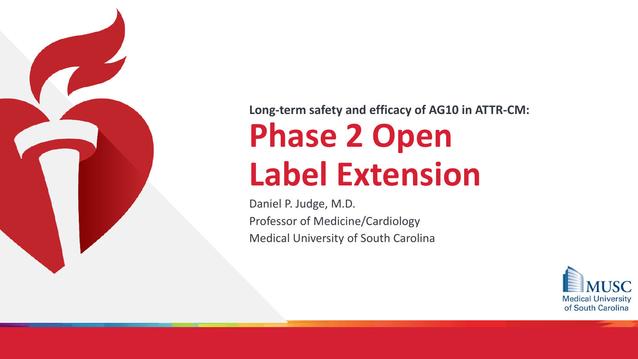

### **Long-term safety and efficacy of AG10 in ATTR-CM:**

# **Phase 2 Open Label Extension**

Daniel P. Judge, M.D. Professor of Medicine/Cardiology Medical University of South Carolina

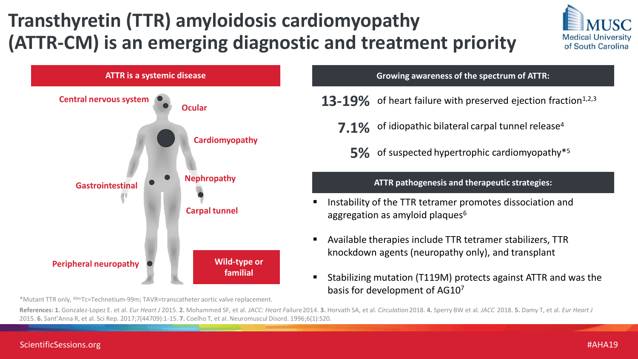## **Transthyretin (TTR) amyloidosis cardiomyopathy (ATTR-CM) is an emerging diagnostic and treatment priority**





\*Mutant TTR only, 99mTc=Technetium-99m; TAVR=transcatheter aortic valve replacement.

- **13-19%** of heart failure with preserved ejection fraction<sup>1,2,3</sup>
	- **7.1%** of idiopathic bilateral carpal tunnel release<sup>4</sup>
		- **5%** of suspected hypertrophic cardiomyopathy\*<sup>5</sup>

#### **ATTR pathogenesis and therapeutic strategies:**

- Instability of the TTR tetramer promotes dissociation and aggregation as amyloid plaques $6$
- Available therapies include TTR tetramer stabilizers, TTR knockdown agents (neuropathy only), and transplant
- Stabilizing mutation (T119M) protects against ATTR and was the basis for development of AG10<sup>7</sup>

References: 1. Gonzalez-Lopez E. et al. Eur Heart J 2015. 2. Mohammed SF, et al. JACC: Heart Failure 2014. 3. Horvath SA, et al. Circulation 2018. 4. Sperry BW et al. JACC 2018. 5. Damy T, et al. Eur Heart J 2015. **6.** Sant'Anna R, et al. Sci Rep. 2017;7(44709):1-15. **7.** Coelho T, et al. Neuromuscul Disord. 1996;6(1):S20.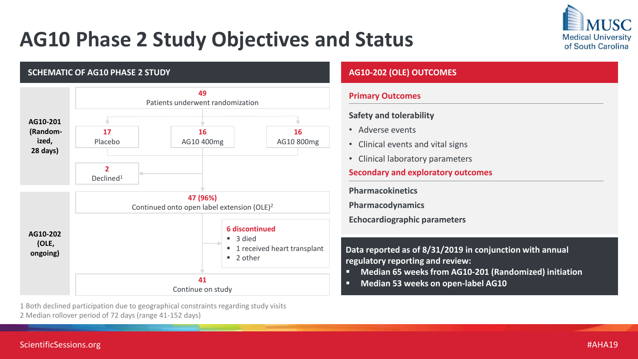## **AG10 Phase 2 Study Objectives and Status**



#### **SCHEMATIC OF AG10 PHASE 2 STUDY 49**  Patients underwent randomization **17**  Placebo **16** AG10 400mg **16** AG10 800mg **2**  Declined<sup>1</sup> **47 (96%)** Continued onto open label extension (OLE)<sup>2</sup> **41** Continue on study **6 discontinued**  $\blacksquare$  3 died ■ 1 received heart transplant  $\blacksquare$  2 other **AG10-201 (Randomized, 28 days) AG10-202 (OLE, ongoing)**

#### **AG10-202 (OLE) OUTCOMES**

#### **Primary Outcomes**

#### **Safety and tolerability**

- Adverse events
- Clinical events and vital signs
- Clinical laboratory parameters

#### **Secondary and exploratory outcomes**

**Pharmacokinetics**

**Pharmacodynamics**

**Echocardiographic parameters**

**Data reported as of 8/31/2019 in conjunction with annual regulatory reporting and review:**

- **Median 65 weeks from AG10-201 (Randomized) initiation**
- **Median 53 weeks on open-label AG10**

1 Both declined participation due to geographical constraints regarding study visits 2 Median rollover period of 72 days (range 41-152 days)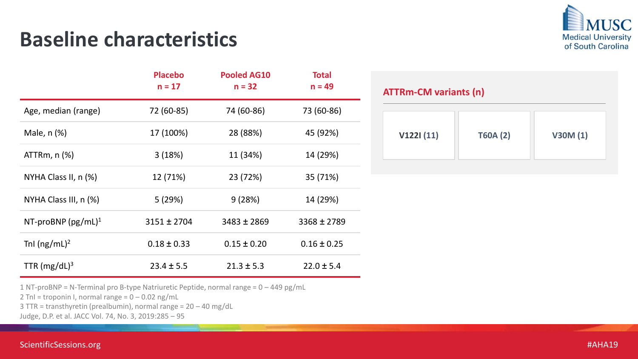### **Baseline characteristics**



|                            | <b>Placebo</b><br>$n = 17$ | <b>Pooled AG10</b><br>$n = 32$ | <b>Total</b><br>$n = 49$ |
|----------------------------|----------------------------|--------------------------------|--------------------------|
| Age, median (range)        | 72 (60-85)                 | 74 (60-86)                     | 73 (60-86)               |
| Male, n (%)                | 17 (100%)                  | 28 (88%)                       | 45 (92%)                 |
| $ATTRm, n (\%)$            | 3(18%)                     | 11 (34%)                       | 14 (29%)                 |
| NYHA Class II, $n$ $(\%)$  | 12 (71%)                   | 23 (72%)                       | 35 (71%)                 |
| NYHA Class III, $n$ $(\%)$ | 5(29%)                     | 9(28%)                         | 14 (29%)                 |
| NT-proBNP $(pg/mL)^1$      | $3151 \pm 2704$            | $3483 \pm 2869$                | $3368 \pm 2789$          |
| Tnl $(ng/mL)^2$            | $0.18 \pm 0.33$            | $0.15 \pm 0.20$                | $0.16 \pm 0.25$          |
| TTR $(mg/dL)^3$            | $23.4 \pm 5.5$             | $21.3 \pm 5.3$                 | $22.0 \pm 5.4$           |

#### **ATTRm-CM variants (n)**

| V122I(11)<br>V30M(1)<br><b>T60A (2)</b> |
|-----------------------------------------|
|-----------------------------------------|

1 NT-proBNP = N-Terminal pro B-type Natriuretic Peptide, normal range = 0 – 449 pg/mL

2 TnI = troponin I, normal range =  $0 - 0.02$  ng/mL

3 TTR = transthyretin (prealbumin), normal range = 20 – 40 mg/dL

Judge, D.P. et al. JACC Vol. 74, No. 3, 2019:285 – 95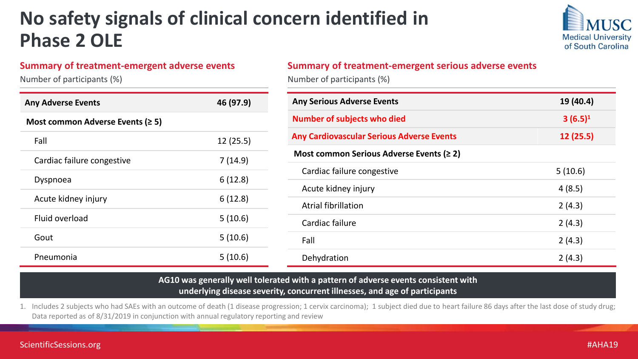### **No safety signals of clinical concern identified in Phase 2 OLE**



#### **Summary of treatment-emergent adverse events**

Number of participants (%)

| <b>Any Adverse Events</b>               | 46 (97.9) |
|-----------------------------------------|-----------|
| Most common Adverse Events ( $\geq 5$ ) |           |
| Fall                                    | 12(25.5)  |
| Cardiac failure congestive              | 7(14.9)   |
| Dyspnoea                                | 6(12.8)   |
| Acute kidney injury                     | 6(12.8)   |
| Fluid overload                          | 5(10.6)   |
| Gout                                    | 5(10.6)   |
| Pneumonia                               | 5(10.6)   |

#### **Summary of treatment-emergent serious adverse events**

Number of participants (%)

| <b>Any Serious Adverse Events</b>                | 19 (40.4)  |
|--------------------------------------------------|------------|
| <b>Number of subjects who died</b>               | $3(6.5)^1$ |
| <b>Any Cardiovascular Serious Adverse Events</b> | 12 (25.5)  |
| Most common Serious Adverse Events ( $\geq 2$ )  |            |
| Cardiac failure congestive                       | 5(10.6)    |
| Acute kidney injury                              | 4(8.5)     |
| <b>Atrial fibrillation</b>                       | 2(4.3)     |
| Cardiac failure                                  | 2(4.3)     |
| Fall                                             | 2(4.3)     |
| Dehydration                                      | 2(4.3)     |

#### **AG10 was generally well tolerated with a pattern of adverse events consistent with underlying disease severity, concurrent illnesses, and age of participants**

1. Includes 2 subjects who had SAEs with an outcome of death (1 disease progression; 1 cervix carcinoma); 1 subject died due to heart failure 86 days after the last dose of study drug; Data reported as of 8/31/2019 in conjunction with annual regulatory reporting and review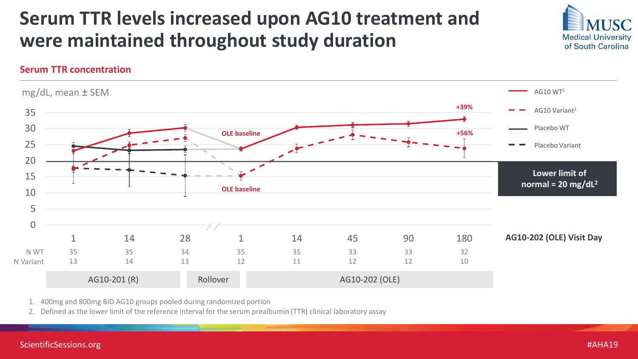### **Serum TTR levels increased upon AG10 treatment and were maintained throughout study duration**



#### **Serum TTR concentration**



1. 400mg and 800mg BID AG10 groups pooled during randomized portion

2. Defined as the lower limit of the reference interval for the serum prealbumin (TTR) clinical laboratory assay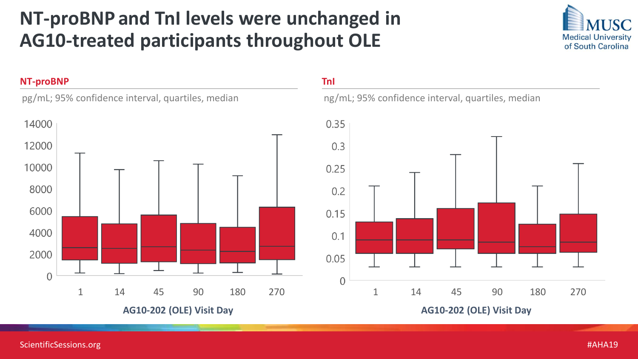### **NT-proBNP and TnI levels were unchanged in AG10-treated participants throughout OLE**



#### **NT-proBNP**

pg/mL; 95% confidence interval, quartiles, median



#### **TnI**

ng/mL; 95% confidence interval, quartiles, median

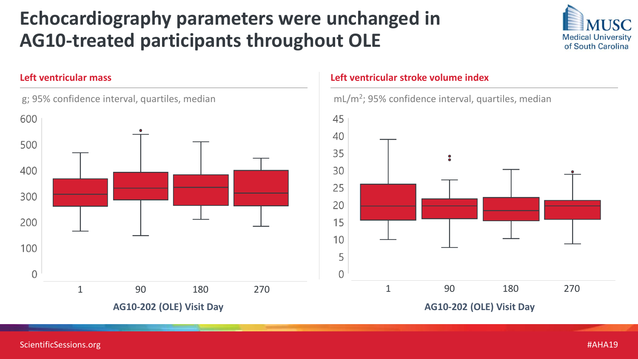### **Echocardiography parameters were unchanged in AG10-treated participants throughout OLE**







#### **Left ventricular mass Left ventricular stroke volume index**





ScientificSessions.org #AHA19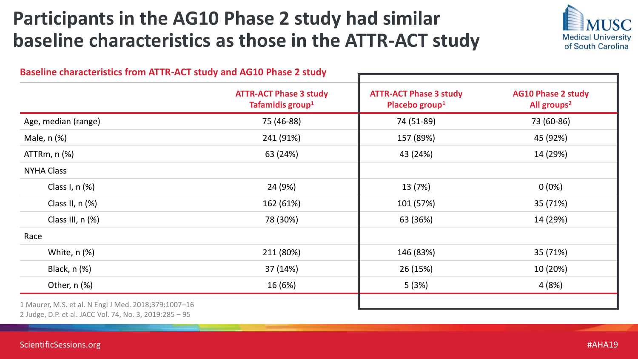### **Participants in the AG10 Phase 2 study had similar baseline characteristics as those in the ATTR-ACT study**



|                      | <b>ATTR-ACT Phase 3 study</b><br>Tafamidis group <sup>1</sup> | <b>ATTR-ACT Phase 3 study</b><br>Placebo group <sup>1</sup> | <b>AG10 Phase 2 study</b><br>All groups <sup>2</sup> |
|----------------------|---------------------------------------------------------------|-------------------------------------------------------------|------------------------------------------------------|
| Age, median (range)  | 75 (46-88)                                                    | 74 (51-89)                                                  | 73 (60-86)                                           |
| Male, $n$ $%$        | 241 (91%)                                                     | 157 (89%)                                                   | 45 (92%)                                             |
| $ATTRm, n (\%)$      | 63 (24%)                                                      | 43 (24%)                                                    | 14 (29%)                                             |
| <b>NYHA Class</b>    |                                                               |                                                             |                                                      |
| Class I, $n$ $(\%)$  | 24 (9%)                                                       | 13 (7%)                                                     | $0(0\%)$                                             |
| Class II, $n$ $(\%)$ | 162 (61%)                                                     | 101 (57%)                                                   | 35 (71%)                                             |
| Class III, n (%)     | 78 (30%)                                                      | 63 (36%)                                                    | 14 (29%)                                             |
| Race                 |                                                               |                                                             |                                                      |
| White, $n$ $%$       | 211 (80%)                                                     | 146 (83%)                                                   | 35 (71%)                                             |
| Black, $n$ $(\%)$    | 37 (14%)                                                      | 26 (15%)                                                    | 10 (20%)                                             |
| Other, $n$ (%)       | 16 (6%)                                                       | 5(3%)                                                       | 4(8%)                                                |

2 Judge, D.P. et al. JACC Vol. 74, No. 3, 2019:285 – 95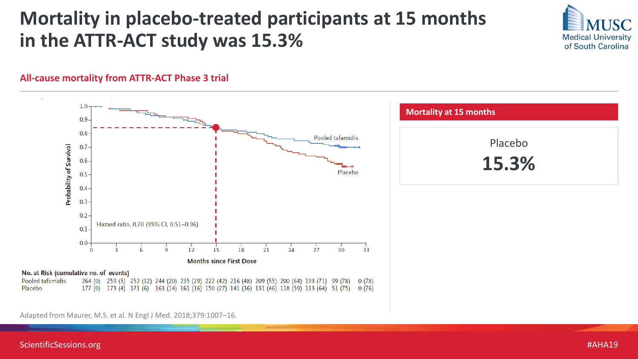### **Mortality in placebo-treated participants at 15 months in the ATTR-ACT study was 15.3%**



#### **All-cause mortality from ATTR-ACT Phase 3 trial**



Adapted from Maurer, M.S. et al. N Engl J Med. 2018;379:1007–16.

ScientificSessions.org #AHA19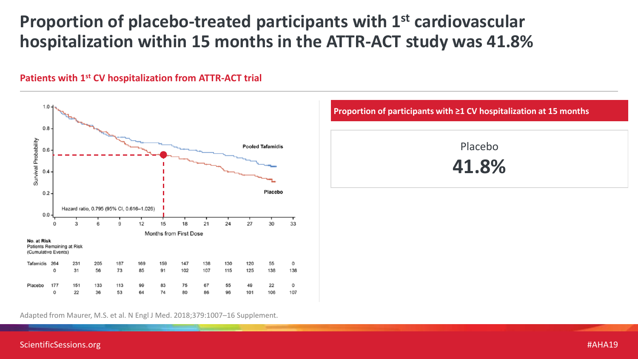### **Proportion of placebo-treated participants with 1st cardiovascular hospitalization within 15 months in the ATTR-ACT study was 41.8%**



#### **Patients with 1st CV hospitalization from ATTR-ACT trial**

Adapted from Maurer, M.S. et al. N Engl J Med. 2018;379:1007–16 Supplement.

|          | Proportion of participants with $\geq 1$ CV hospitalization at 15 months |
|----------|--------------------------------------------------------------------------|
| amidis   | Placebo                                                                  |
|          | 41.8%                                                                    |
| acebo    |                                                                          |
|          |                                                                          |
| 30<br>33 |                                                                          |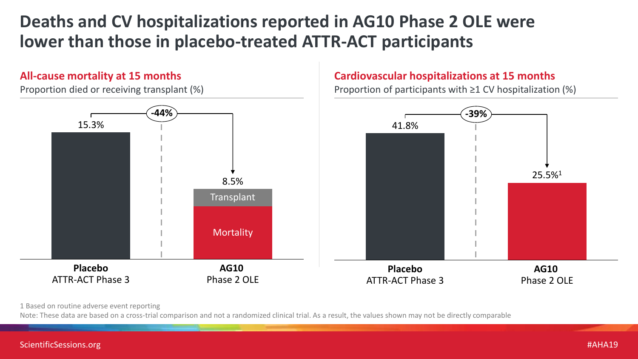### **Deaths and CV hospitalizations reported in AG10 Phase 2 OLE were lower than those in placebo-treated ATTR-ACT participants**

#### **All-cause mortality at 15 months**

Proportion died or receiving transplant (%)

#### **Cardiovascular hospitalizations at 15 months**

Proportion of participants with  $\geq 1$  CV hospitalization (%)



1 Based on routine adverse event reporting

Note: These data are based on a cross-trial comparison and not a randomized clinical trial. As a result, the values shown may not be directly comparable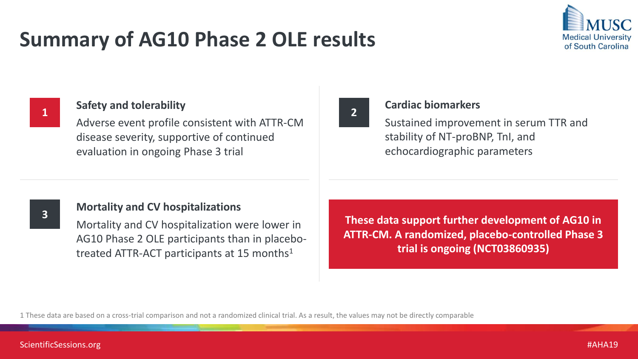### **Summary of AG10 Phase 2 OLE results**



**1**

#### **Safety and tolerability**

Adverse event profile consistent with ATTR-CM disease severity, supportive of continued evaluation in ongoing Phase 3 trial



#### **Cardiac biomarkers**

Sustained improvement in serum TTR and stability of NT-proBNP, TnI, and echocardiographic parameters



#### **Mortality and CV hospitalizations**

Mortality and CV hospitalization were lower in AG10 Phase 2 OLE participants than in placebotreated ATTR-ACT participants at 15 months<sup>1</sup>

**These data support further development of AG10 in ATTR-CM. A randomized, placebo-controlled Phase 3 trial is ongoing (NCT03860935)**

1 These data are based on a cross-trial comparison and not a randomized clinical trial. As a result, the values may not be directly comparable